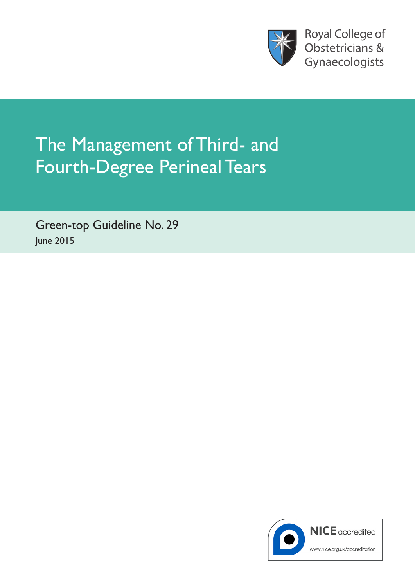

**Royal College of** Obstetricians & Gynaecologists

# The Management of Third- and Fourth-Degree Perineal Tears

Green-top Guideline No. 29 June 2015

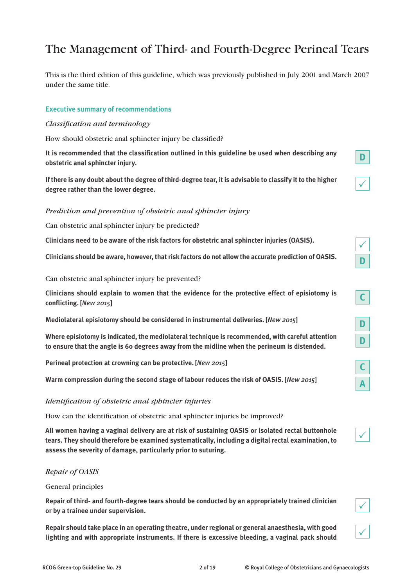# The Management of Third- and Fourth-Degree Perineal Tears

This is the third edition of this guideline, which was previously published in July 2001 and March 2007 under the same title.

# **Executive summary of recommendations**

# *Classification and terminology*

How should obstetric anal sphincter injury be classified?

**It is recommended that the classification outlined in this guideline be used when describing any obstetric anal sphincter injury.**

**If there is any doubt about the degree of third-degree tear, it is advisable to classify it to the higher degree rather than the lower degree.**

# *Prediction and prevention of obstetric anal sphincter injury*

Can obstetric anal sphincter injury be predicted?

**Clinicians need to be aware of the risk factors for obstetric anal sphincter injuries (OASIS).**

**Clinicians should be aware, however, that risk factors do not allow the accurate prediction of OASIS.**

Can obstetric anal sphincter injury be prevented?

**Clinicians should explain to women that the evidence for the protective effect of episiotomy is conflicting. [***New 2015***]**

**Mediolateral episiotomy should be considered in instrumental deliveries. [***New 2015***]**

**Where episiotomy is indicated, the mediolateral technique is recommended, with careful attention to ensure that the angle is 60 degrees away from the midline when the perineum is distended.**

**Perineal protection at crowning can be protective. [***New 2015***]**

**Warm compression during the second stage of labour reduces the risk of OASIS. [***New 2015***]**

# *Identification of obstetric anal sphincter injuries*

How can the identification of obstetric anal sphincter injuries be improved?

**All women having a vaginal delivery are at risk of sustaining OASIS or isolated rectal buttonhole tears. They should therefore be examined systematically, including a digital rectal examination, to assess the severity of damage, particularly prior to suturing.**

# *Repair of OASIS*

General principles

**Repair of third- and fourth-degree tears should be conducted by an appropriately trained clinician or by a trainee under supervision.** 

**Repair should take place in an operating theatre, under regional or general anaesthesia, with good lighting and with appropriate instruments. If there is excessive bleeding, a vaginal pack should** 

 $\checkmark$ 

| ╱ |  |
|---|--|
|   |  |

| $\mathcal{L}$ |
|---------------|
|---------------|

| ł |  |
|---|--|
|   |  |

| I<br>ł |  |
|--------|--|
|        |  |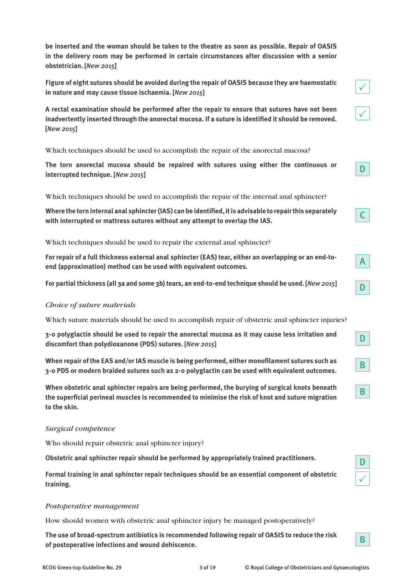**be inserted and the woman should be taken to the theatre as soon as possible. Repair of OASIS in the delivery room may be performed in certain circumstances after discussion with a senior obstetrician. [***New 2015***]**

**Figure of eight sutures should be avoided during the repair of OASIS because they are haemostatic in nature and may cause tissue ischaemia. [***New 2015***]**

**A rectal examination should be performed after the repair to ensure that sutures have not been inadvertently inserted through the anorectal mucosa. If a suture is identified it should be removed. [***New 2015***]**

Which techniques should be used to accomplish the repair of the anorectal mucosa?

**The torn anorectal mucosa should be repaired with sutures using either the continuous or interrupted technique. [***New 2015***]**

Which techniques should be used to accomplish the repair of the internal anal sphincter?

**Where the torn internal anal sphincter (IAS) can be identified, it is advisable to repair this separately with interrupted or mattress sutures without any attempt to overlap the IAS.**

Which techniques should be used to repair the external anal sphincter?

**For repair of a full thickness external anal sphincter (EAS) tear, either an overlapping or an end-toend (approximation) method can be used with equivalent outcomes.**

**For partial thickness (all 3a and some 3b) tears, an end-to-end technique should be used. [***New 2015***]**

# *Choice of suture materials*

Which suture materials should be used to accomplish repair of obstetric anal sphincter injuries?

**3-0 polyglactin should be used to repair the anorectal mucosa as it may cause less irritation and discomfort than polydioxanone (PDS) sutures. [***New 2015***]**

**When repair of the EAS and/or IAS muscle is being performed, either monofilament sutures such as 3-0 PDS or modern braided sutures such as 2-0 polyglactin can be used with equivalent outcomes.** 

**When obstetric anal sphincter repairs are being performed, the burying of surgical knots beneath the superficial perineal muscles is recommended to minimise the risk of knot and suture migration to the skin.**

# *Surgical competence*

Who should repair obstetric anal sphincter injury?

**Obstetric anal sphincter repair should be performed by appropriately trained practitioners.**

**Formal training in anal sphincter repair techniques should be an essential component of obstetric training.**

# *Postoperative management*

How should women with obstetric anal sphincter injury be managed postoperatively?

**The use of broad-spectrum antibiotics is recommended following repair of OASIS to reduce the risk of postoperative infections and wound dehiscence.**



**D**

 $\checkmark$ 

**B**

 $\checkmark$ 

 $\checkmark$ 

**D**

**C**

**A**

**D**

**D**

**B**

**B**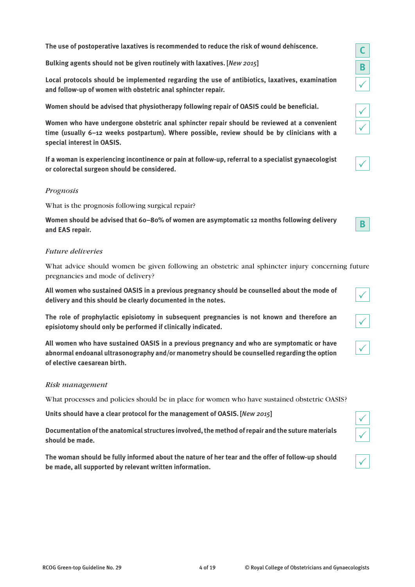**The use of postoperative laxatives is recommended to reduce the risk of wound dehiscence.**

**Bulking agents should not be given routinely with laxatives. [***New 2015***]**

**Local protocols should be implemented regarding the use of antibiotics, laxatives, examination and follow-up of women with obstetric anal sphincter repair.**

**Women should be advised that physiotherapy following repair of OASIS could be beneficial.**

**Women who have undergone obstetric anal sphincter repair should be reviewed at a convenient time (usually 6–12 weeks postpartum). Where possible, review should be by clinicians with a special interest in OASIS.**

**If a woman is experiencing incontinence or pain at follow-up, referral to a specialist gynaecologist or colorectal surgeon should be considered.**

# *Prognosis*

What is the prognosis following surgical repair?

**Women should be advised that 60–80% of women are asymptomatic 12 months following delivery and EAS repair.**

# *Future deliveries*

What advice should women be given following an obstetric anal sphincter injury concerning future pregnancies and mode of delivery?

**All women who sustained OASIS in a previous pregnancy should be counselled about the mode of delivery and this should be clearly documented in the notes.**

**The role of prophylactic episiotomy in subsequent pregnancies is not known and therefore an episiotomy should only be performed if clinically indicated.**

**All women who have sustained OASIS in a previous pregnancy and who are symptomatic or have abnormal endoanal ultrasonography and/or manometry should be counselled regarding the option of elective caesarean birth.**

# *Risk management*

What processes and policies should be in place for women who have sustained obstetric OASIS?

**Units should have a clear protocol for the management of OASIS. [***New 2015***]**

**Documentation of the anatomical structures involved, the method of repair and the suture materials should be made.**

**The woman should be fully informed about the nature of her tear and the offer of follow-up should be made, all supported by relevant written information.**

| ∕ |
|---|

| ∕ |  |
|---|--|

|--|

| I<br>ł |
|--------|
|        |

| I<br>ł |  |
|--------|--|
|        |  |

| ł |
|---|
|---|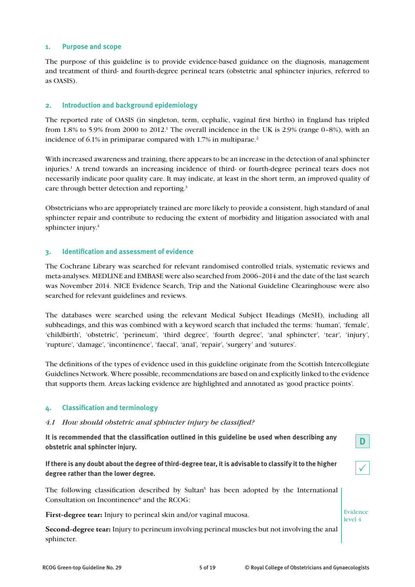# **1. Purpose and scope**

The purpose of this guideline is to provide evidence-based guidance on the diagnosis, management and treatment of third- and fourth-degree perineal tears (obstetric anal sphincter injuries, referred to as OASIS).

# **2. Introduction and background epidemiology**

The reported rate of OASIS (in singleton, term, cephalic, vaginal first births) in England has tripled from  $1.8\%$  to 5.9% from 2000 to 2012.<sup>1</sup> The overall incidence in the UK is 2.9% (range 0-8%), with an incidence of 6.1% in primiparae compared with 1.7% in multiparae.<sup>2</sup>

With increased awareness and training, there appears to be an increase in the detection of anal sphincter injuries.<sup>1</sup> A trend towards an increasing incidence of third- or fourth-degree perineal tears does not necessarily indicate poor quality care. It may indicate, at least in the short term, an improved quality of care through better detection and reporting.<sup>3</sup>

Obstetricians who are appropriately trained are more likely to provide a consistent, high standard of anal sphincter repair and contribute to reducing the extent of morbidity and litigation associated with anal sphincter injury.<sup>4</sup>

# **3. Identification and assessment of evidence**

The Cochrane Library was searched for relevant randomised controlled trials, systematic reviews and meta-analyses. MEDLINE and EMBASE were also searched from 2006–2014 and the date of the last search was November 2014. NICE Evidence Search, Trip and the National Guideline Clearinghouse were also searched for relevant guidelines and reviews.

The databases were searched using the relevant Medical Subject Headings (MeSH), including all subheadings, and this was combined with a keyword search that included the terms: 'human', 'female', 'childbirth', 'obstetric', 'perineum', 'third degree', 'fourth degree', 'anal sphincter', 'tear', 'injury', 'rupture', 'damage', 'incontinence', 'faecal', 'anal', 'repair', 'surgery' and 'sutures'.

The definitions of the types of evidence used in this guideline originate from the Scottish Intercollegiate Guidelines Network. Where possible, recommendations are based on and explicitly linked to the evidence that supports them. Areas lacking evidence are highlighted and annotated as 'good practice points'.

# **4. Classification and terminology**

# *4.1 How should obstetric anal sphincter injury be classified?*

**It is recommended that the classification outlined in this guideline be used when describing any obstetric anal sphincter injury.**

**If there is any doubt about the degree of third-degree tear, it is advisable to classify it to the higher degree rather than the lower degree.**

The following classification described by Sultan<sup>5</sup> has been adopted by the International Consultation on Incontinence<sup>6</sup> and the RCOG:

**First-degree tear:** Injury to perineal skin and/or vaginal mucosa.

**Second-degree tear:** Injury to perineum involving perineal muscles but not involving the anal sphincter.

 $\checkmark$ 

**D**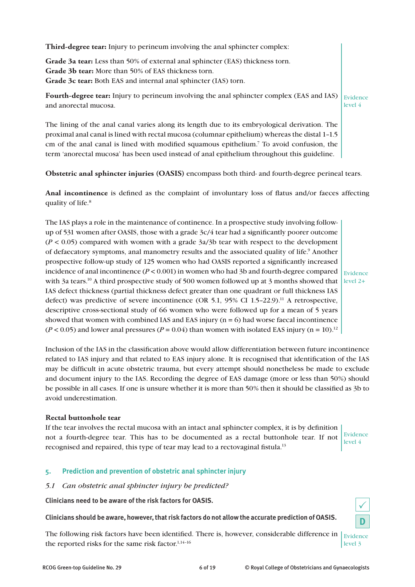**Third-degree tear:** Injury to perineum involving the anal sphincter complex:

**Grade 3a tear:** Less than 50% of external anal sphincter (EAS) thickness torn. **Grade 3b tear:** More than 50% of EAS thickness torn. **Grade 3c tear:** Both EAS and internal anal sphincter (IAS) torn.

Fourth-degree tear: Injury to perineum involving the anal sphincter complex (EAS and IAS) Evidence and anorectal mucosa. level 4

The lining of the anal canal varies along its length due to its embryological derivation. The proximal anal canal is lined with rectal mucosa (columnar epithelium) whereas the distal 1–1.5 cm of the anal canal is lined with modified squamous epithelium.7 To avoid confusion, the term 'anorectal mucosa' has been used instead of anal epithelium throughout this guideline.

**Obstetric anal sphincter injuries (OASIS)** encompass both third- and fourth-degree perineal tears.

**Anal incontinence** is defined as the complaint of involuntary loss of flatus and/or faeces affecting quality of life.8

The IAS plays a role in the maintenance of continence. In a prospective study involving followup of 531 women after OASIS, those with a grade 3c/4 tear had a significantly poorer outcome  $(P < 0.05)$  compared with women with a grade  $3a/3b$  tear with respect to the development of defaecatory symptoms, anal manometry results and the associated quality of life.<sup>9</sup> Another prospective follow-up study of 125 women who had OASIS reported a significantly increased incidence of anal incontinence  $(P < 0.001)$  in women who had 3b and fourth-degree compared with 3a tears.<sup>10</sup> A third prospective study of 500 women followed up at 3 months showed that level 2+ IAS defect thickness (partial thickness defect greater than one quadrant or full thickness IAS defect) was predictive of severe incontinence (OR 5.1, 95% CI 1.5-22.9).<sup>11</sup> A retrospective, descriptive cross-sectional study of 66 women who were followed up for a mean of 5 years showed that women with combined IAS and EAS injury  $(n = 6)$  had worse faecal incontinence  $(P < 0.05)$  and lower anal pressures  $(P = 0.04)$  than women with isolated EAS injury  $(n = 10).12$ 

Evidence

Inclusion of the IAS in the classification above would allow differentiation between future incontinence related to IAS injury and that related to EAS injury alone. It is recognised that identification of the IAS may be difficult in acute obstetric trauma, but every attempt should nonetheless be made to exclude and document injury to the IAS. Recording the degree of EAS damage (more or less than 50%) should be possible in all cases. If one is unsure whether it is more than 50% then it should be classified as 3b to avoid underestimation.

# **Rectal buttonhole tear**

If the tear involves the rectal mucosa with an intact anal sphincter complex, it is by definition not a fourth-degree tear. This has to be documented as a rectal buttonhole tear. If not recognised and repaired, this type of tear may lead to a rectovaginal fistula.13

Evidence level 4

 $\checkmark$ 

**D**

# **5. Prediction and prevention of obstetric anal sphincter injury**

# *5.1 Can obstetric anal sphincter injury be predicted?*

**Clinicians need to be aware of the risk factors for OASIS.**

**Clinicians should be aware, however, that risk factors do not allow the accurate prediction of OASIS.** 

The following risk factors have been identified. There is, however, considerable difference in  $\vert$  Evidence the reported risks for the same risk factor.<sup>1,14-16</sup> level 3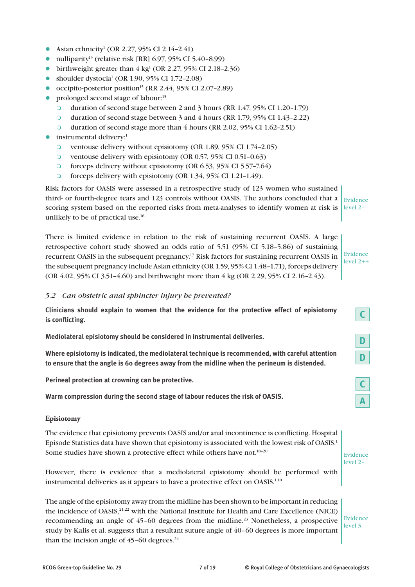- Asian ethnicity<sup>1</sup> (OR 2.27, 95% CI 2.14-2.41)
- nulliparity<sup>15</sup> (relative risk [RR] 6.97, 95% CI 5.40-8.99)
- birthweight greater than  $4 \text{ kg}^1$  (OR 2.27, 95% CI 2.18-2.36)
- shoulder dystocia<sup>1</sup> (OR 1.90, 95% CI 1.72-2.08)
- occipito-posterior position<sup>15</sup> (RR 2.44, 95% CI 2.07-2.89)
- prolonged second stage of labour:<sup>15</sup>
	- m duration of second stage between 2 and 3 hours (RR 1.47, 95% CI 1.20–1.79)
	- m duration of second stage between 3 and 4 hours (RR 1.79, 95% CI 1.43–2.22)
	- O duration of second stage more than  $4$  hours (RR 2.02, 95% CI 1.62–2.51)
- instrumental delivery:<sup>1</sup>
	- m ventouse delivery without episiotomy (OR 1.89, 95% CI 1.74–2.05)
	- O ventouse delivery with episiotomy (OR  $0.57$ ,  $95\%$  CI  $0.51$ – $0.63$ )
	- $\circ$  forceps delivery without episiotomy (OR 6.53, 95% CI 5.57-7.64)
	- o forceps delivery with episiotomy (OR 1.34, 95% CI 1.21-1.49).

Risk factors for OASIS were assessed in a retrospective study of 123 women who sustained third- or fourth-degree tears and 123 controls without OASIS. The authors concluded that a scoring system based on the reported risks from meta-analyses to identify women at risk is unlikely to be of practical use.16 Evidence level 2–

There is limited evidence in relation to the risk of sustaining recurrent OASIS. A large retrospective cohort study showed an odds ratio of 5.51 (95% CI 5.18–5.86) of sustaining recurrent OASIS in the subsequent pregnancy.17 Risk factors for sustaining recurrent OASIS in the subsequent pregnancy include Asian ethnicity (OR 1.59, 95% CI 1.48–1.71), forceps delivery (OR 4.02, 95% CI 3.51–4.60) and birthweight more than 4 kg (OR 2.29, 95% CI 2.16–2.43).

# Evidence level 2++

**C**

**D**

**D**

**C**

**A**

# *5.2 Can obstetric anal sphincter injury be prevented?*

**Clinicians should explain to women that the evidence for the protective effect of episiotomy is conflicting.**

**Mediolateral episiotomy should be considered in instrumental deliveries.**

**Where episiotomy is indicated, the mediolateral technique is recommended, with careful attention to ensure that the angle is 60 degrees away from the midline when the perineum is distended.**

**Perineal protection at crowning can be protective.**

**Warm compression during the second stage of labour reduces the risk of OASIS.**

# **Episiotomy**

The evidence that episiotomy prevents OASIS and/or anal incontinence is conflicting. Hospital Episode Statistics data have shown that episiotomy is associated with the lowest risk of OASIS.1 Some studies have shown a protective effect while others have not.<sup>18-20</sup>

However, there is evidence that a mediolateral episiotomy should be performed with instrumental deliveries as it appears to have a protective effect on OASIS.<sup>1,10</sup>

The angle of the episiotomy away from the midline has been shown to be important in reducing the incidence of OASIS,<sup>21,22</sup> with the National Institute for Health and Care Excellence (NICE) recommending an angle of  $45-60$  degrees from the midline.<sup>23</sup> Nonetheless, a prospective study by Kalis et al. suggests that a resultant suture angle of 40–60 degrees is more important than the incision angle of  $45-60$  degrees.<sup>24</sup>

Evidence level 3

Evidence level 2–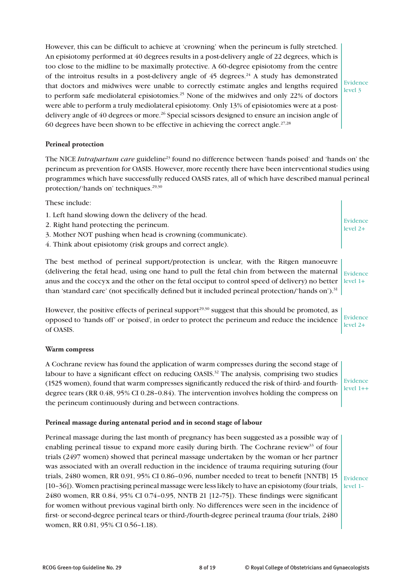However, this can be difficult to achieve at 'crowning' when the perineum is fully stretched. An episiotomy performed at 40 degrees results in a post-delivery angle of 22 degrees, which is too close to the midline to be maximally protective. A 60-degree episiotomy from the centre of the introitus results in a post-delivery angle of  $45$  degrees.<sup>24</sup> A study has demonstrated that doctors and midwives were unable to correctly estimate angles and lengths required to perform safe mediolateral episiotomies.25 None of the midwives and only 22% of doctors were able to perform a truly mediolateral episiotomy. Only 13% of episiotomies were at a postdelivery angle of 40 degrees or more.<sup>26</sup> Special scissors designed to ensure an incision angle of 60 degrees have been shown to be effective in achieving the correct angle.<sup>27,28</sup>

Evidence level 3

Evidence level 2+

# **Perineal protection**

The NICE *Intrapartum care* guideline23 found no difference between 'hands poised' and 'hands on' the perineum as prevention for OASIS. However, more recently there have been interventional studies using programmes which have successfully reduced OASIS rates, all of which have described manual perineal protection/'hands on' techniques.<sup>29,30</sup>

These include:

- 1. Left hand slowing down the delivery of the head.
- 2. Right hand protecting the perineum.
- 3. Mother NOT pushing when head is crowning (communicate).
- 4. Think about episiotomy (risk groups and correct angle).

The best method of perineal support/protection is unclear, with the Ritgen manoeuvre (delivering the fetal head, using one hand to pull the fetal chin from between the maternal anus and the coccyx and the other on the fetal occiput to control speed of delivery) no better than 'standard care' (not specifically defined but it included perineal protection/'hands on').<sup>31</sup> Evidence  $level 1+$ 

However, the positive effects of perineal support<sup>29,30</sup> suggest that this should be promoted, as opposed to 'hands off' or 'poised', in order to protect the perineum and reduce the incidence of OASIS. Evidence level 2+

# **Warm compress**

A Cochrane review has found the application of warm compresses during the second stage of labour to have a significant effect on reducing OASIS.<sup>32</sup> The analysis, comprising two studies (1525 women), found that warm compresses significantly reduced the risk of third- and fourthdegree tears (RR 0.48, 95% CI 0.28–0.84). The intervention involves holding the compress on the perineum continuously during and between contractions.

Evidence  $level 1++$ 

# **Perineal massage during antenatal period and in second stage of labour**

Perineal massage during the last month of pregnancy has been suggested as a possible way of enabling perineal tissue to expand more easily during birth. The Cochrane review<sup>33</sup> of four trials (2497 women) showed that perineal massage undertaken by the woman or her partner was associated with an overall reduction in the incidence of trauma requiring suturing (four trials, 2480 women, RR 0.91, 95% CI 0.86–0.96, number needed to treat to benefit [NNTB] 15 [10–36]). Women practising perineal massage were less likely to have an episiotomy (four trials, 2480 women, RR 0.84, 95% CI 0.74–0.95, NNTB 21 [12–75]). These findings were significant for women without previous vaginal birth only. No differences were seen in the incidence of first- or second-degree perineal tears or third-/fourth-degree perineal trauma (four trials, 2480 women, RR 0.81, 95% CI 0.56–1.18).

level 1–

Evidence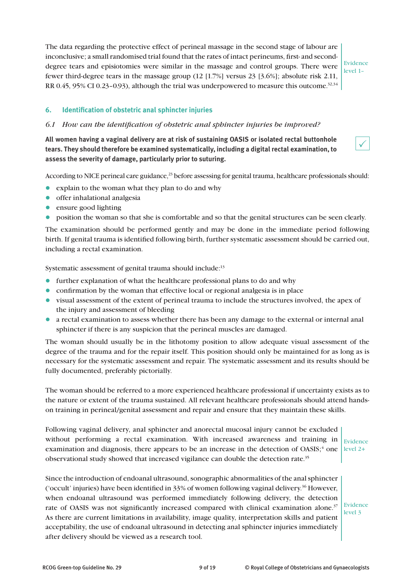The data regarding the protective effect of perineal massage in the second stage of labour are inconclusive; a small randomised trial found that the rates of intact perineums, first- and seconddegree tears and episiotomies were similar in the massage and control groups. There were fewer third-degree tears in the massage group (12 [1.7%] versus 23 [3.6%]; absolute risk 2.11, RR 0.45, 95% CI 0.23–0.93), although the trial was underpowered to measure this outcome.<sup>32,34</sup>

Evidence level 1–

 $\checkmark$ 

# **6. Identification of obstetric anal sphincter injuries**

# *6.1 How can the identification of obstetric anal sphincter injuries be improved?*

**All women having a vaginal delivery are at risk of sustaining OASIS or isolated rectal buttonhole tears. They should therefore be examined systematically, including a digital rectal examination, to assess the severity of damage, particularly prior to suturing.**

According to NICE perineal care guidance,<sup>23</sup> before assessing for genital trauma, healthcare professionals should:

- explain to the woman what they plan to do and why
- $\bullet$  offer inhalational analgesia
- $\bullet$  ensure good lighting
- l position the woman so that she is comfortable and so that the genital structures can be seen clearly.

The examination should be performed gently and may be done in the immediate period following birth. If genital trauma is identified following birth, further systematic assessment should be carried out, including a rectal examination.

Systematic assessment of genital trauma should include:<sup>13</sup>

- $\bullet$  further explanation of what the healthcare professional plans to do and why
- confirmation by the woman that effective local or regional analgesia is in place
- l visual assessment of the extent of perineal trauma to include the structures involved, the apex of the injury and assessment of bleeding
- l a rectal examination to assess whether there has been any damage to the external or internal anal sphincter if there is any suspicion that the perineal muscles are damaged.

The woman should usually be in the lithotomy position to allow adequate visual assessment of the degree of the trauma and for the repair itself. This position should only be maintained for as long as is necessary for the systematic assessment and repair. The systematic assessment and its results should be fully documented, preferably pictorially.

The woman should be referred to a more experienced healthcare professional if uncertainty exists as to the nature or extent of the trauma sustained. All relevant healthcare professionals should attend handson training in perineal/genital assessment and repair and ensure that they maintain these skills.

Following vaginal delivery, anal sphincter and anorectal mucosal injury cannot be excluded without performing a rectal examination. With increased awareness and training in examination and diagnosis, there appears to be an increase in the detection of  $OASIS$ ;<sup>4</sup> one observational study showed that increased vigilance can double the detection rate.35

Evidence level 2+

Since the introduction of endoanal ultrasound, sonographic abnormalities of the anal sphincter ('occult' injuries) have been identified in 33% of women following vaginal delivery.36 However, when endoanal ultrasound was performed immediately following delivery, the detection rate of OASIS was not significantly increased compared with clinical examination alone.<sup>37</sup> As there are current limitations in availability, image quality, interpretation skills and patient acceptability, the use of endoanal ultrasound in detecting anal sphincter injuries immediately after delivery should be viewed as a research tool.

Evidence level 3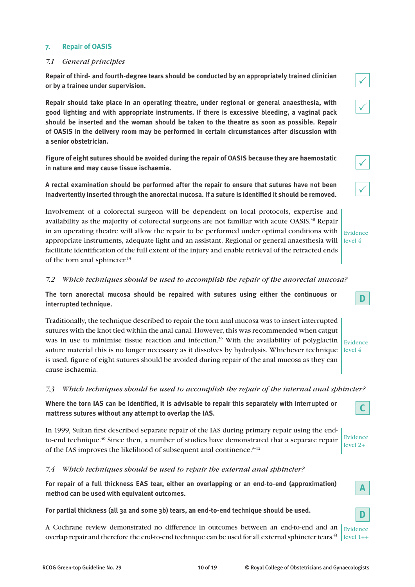# **7. Repair of OASIS**

# *7.1 General principles*

**Repair of third- and fourth-degree tears should be conducted by an appropriately trained clinician or by a trainee under supervision.** 

**Repair should take place in an operating theatre, under regional or general anaesthesia, with good lighting and with appropriate instruments. If there is excessive bleeding, a vaginal pack should be inserted and the woman should be taken to the theatre as soon as possible. Repair of OASIS in the delivery room may be performed in certain circumstances after discussion with a senior obstetrician.**

**Figure of eight sutures should be avoided during the repair of OASIS because they are haemostatic in nature and may cause tissue ischaemia.**

**A rectal examination should be performed after the repair to ensure that sutures have not been inadvertently inserted through the anorectal mucosa. If a suture is identified it should be removed.**

Involvement of a colorectal surgeon will be dependent on local protocols, expertise and availability as the majority of colorectal surgeons are not familiar with acute OASIS.<sup>38</sup> Repair in an operating theatre will allow the repair to be performed under optimal conditions with appropriate instruments, adequate light and an assistant. Regional or general anaesthesia will  $\vert$  level  $4$ facilitate identification of the full extent of the injury and enable retrieval of the retracted ends of the torn anal sphincter.13  $\mathsf{E}% _{0}$ 

# *7.2 Which techniques should be used to accomplish the repair of the anorectal mucosa?*

**The torn anorectal mucosa should be repaired with sutures using either the continuous or interrupted technique.**

Traditionally, the technique described to repair the torn anal mucosa was to insert interrupted sutures with the knot tied within the anal canal. However, this was recommended when catgut was in use to minimise tissue reaction and infection.<sup>39</sup> With the availability of polyglactin  $\frac{1}{\text{Evidence}}$ suture material this is no longer necessary as it dissolves by hydrolysis. Whichever technique  $\vert$  level 4 is used, figure of eight sutures should be avoided during repair of the anal mucosa as they can cause ischaemia.

# *7.3 Which techniques should be used to accomplish the repair of the internal anal sphincter?*

**Where the torn IAS can be identified, it is advisable to repair this separately with interrupted or mattress sutures without any attempt to overlap the IAS.**

In 1999, Sultan first described separate repair of the IAS during primary repair using the endto-end technique.<sup>40</sup> Since then, a number of studies have demonstrated that a separate repair of the IAS improves the likelihood of subsequent anal continence.<sup>9-12</sup>

# *7.4 Which techniques should be used to repair the external anal sphincter?*

**For repair of a full thickness EAS tear, either an overlapping or an end-to-end (approximation) method can be used with equivalent outcomes.**

**For partial thickness (all 3a and some 3b) tears, an end-to-end technique should be used.**

A Cochrane review demonstrated no difference in outcomes between an end-to-end and an  $\vert$  Evidence overlap repair and therefore the end-to-end technique can be used for all external sphincter tears.<sup>41</sup>  $\vert$  level 1++



|--|--|--|--|--|

 $\checkmark$ 

| videnc |  |
|--------|--|
| vel 4  |  |

| vidence |  |  |
|---------|--|--|

**D**



**C**

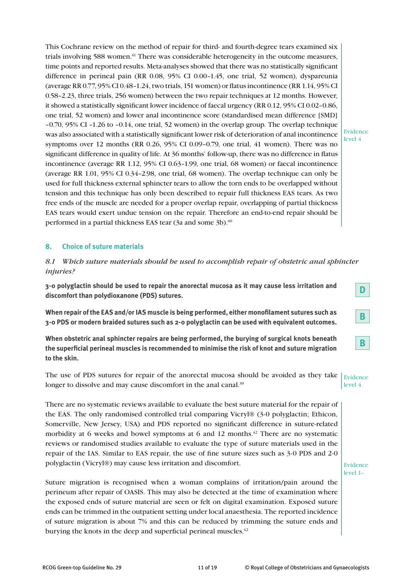This Cochrane review on the method of repair for third- and fourth-degree tears examined six trials involving 588 women.<sup>41</sup> There was considerable heterogeneity in the outcome measures, time points and reported results. Meta-analyses showed that there was no statistically significant difference in perineal pain (RR 0.08, 95% CI 0.00–1.45, one trial, 52 women), dyspareunia (average RR 0.77, 95% CI 0.48–1.24, two trials, 151 women) or flatus incontinence (RR 1.14, 95% CI 0.58–2.23, three trials, 256 women) between the two repair techniques at 12 months. However, it showed a statistically significant lower incidence of faecal urgency (RR 0.12, 95% CI 0.02–0.86, one trial, 52 women) and lower anal incontinence score (standardised mean difference [SMD] –0.70, 95% CI –1.26 to –0.14, one trial, 52 women) in the overlap group. The overlap technique was also associated with a statistically significant lower risk of deterioration of anal incontinence symptoms over 12 months (RR 0.26, 95% CI 0.09–0.79, one trial, 41 women). There was no significant difference in quality of life. At 36 months' follow-up, there was no difference in flatus incontinence (average RR 1.12, 95% CI 0.63–1.99, one trial, 68 women) or faecal incontinence (average RR 1.01, 95% CI 0.34–2.98, one trial, 68 women). The overlap technique can only be used for full thickness external sphincter tears to allow the torn ends to be overlapped without tension and this technique has only been described to repair full thickness EAS tears. As two free ends of the muscle are needed for a proper overlap repair, overlapping of partial thickness EAS tears would exert undue tension on the repair. Therefore an end-to-end repair should be performed in a partial thickness EAS tear (3a and some 3b).<sup>40</sup>

Evidence level 4

# **8. Choice of suture materials**

*8.1 Which suture materials should be used to accomplish repair of obstetric anal sphincter injuries?* 

**3-0 polyglactin should be used to repair the anorectal mucosa as it may cause less irritation and discomfort than polydioxanone (PDS) sutures.**

**When repair of the EAS and/or IAS muscle is being performed, either monofilament sutures such as 3-0 PDS or modern braided sutures such as 2-0 polyglactin can be used with equivalent outcomes.**

**When obstetric anal sphincter repairs are being performed, the burying of surgical knots beneath the superficial perineal muscles is recommended to minimise the risk of knot and suture migration to the skin.**

The use of PDS sutures for repair of the anorectal mucosa should be avoided as they take  $\vert$  Evidence longer to dissolve and may cause discomfort in the anal canal.<sup>39</sup> level 4

There are no systematic reviews available to evaluate the best suture material for the repair of the EAS. The only randomised controlled trial comparing Vicryl® (3-0 polyglactin; Ethicon, Somerville, New Jersey, USA) and PDS reported no significant difference in suture-related morbidity at 6 weeks and bowel symptoms at 6 and 12 months.<sup>42</sup> There are no systematic reviews or randomised studies available to evaluate the type of suture materials used in the repair of the IAS. Similar to EAS repair, the use of fine suture sizes such as 3-0 PDS and 2-0 polyglactin (Vicryl®) may cause less irritation and discomfort.

Suture migration is recognised when a woman complains of irritation/pain around the perineum after repair of OASIS. This may also be detected at the time of examination where the exposed ends of suture material are seen or felt on digital examination. Exposed suture ends can be trimmed in the outpatient setting under local anaesthesia. The reported incidence of suture migration is about 7% and this can be reduced by trimming the suture ends and burying the knots in the deep and superficial perineal muscles.<sup>42</sup>



|--|



Evidence level 1–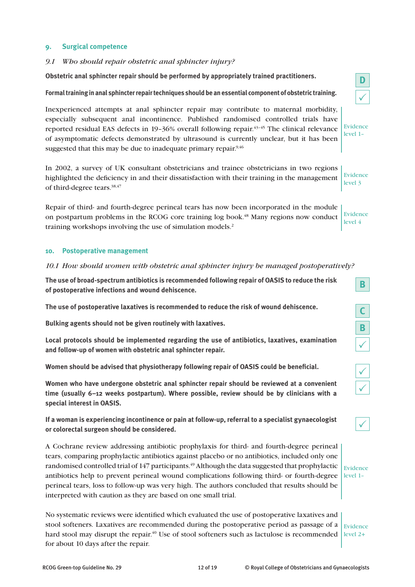# **9. Surgical competence**

# *9.1 Who should repair obstetric anal sphincter injury?*

**Obstetric anal sphincter repair should be performed by appropriately trained practitioners.**

**Formal training in anal sphincter repair techniques should be an essential component of obstetric training.**

Inexperienced attempts at anal sphincter repair may contribute to maternal morbidity, especially subsequent anal incontinence. Published randomised controlled trials have reported residual EAS defects in  $19-36\%$  overall following repair.<sup>43–45</sup> The clinical relevance of asymptomatic defects demonstrated by ultrasound is currently unclear, but it has been suggested that this may be due to inadequate primary repair. $9,46$ 

In 2002, a survey of UK consultant obstetricians and trainee obstetricians in two regions highlighted the deficiency in and their dissatisfaction with their training in the management of third-degree tears.38,47

Repair of third- and fourth-degree perineal tears has now been incorporated in the module on postpartum problems in the RCOG core training log book.48 Many regions now conduct training workshops involving the use of simulation models.2

# **10. Postoperative management**

#### *10.1 How should women with obstetric anal sphincter injury be managed postoperatively?*

**The use of broad-spectrum antibiotics is recommended following repair of OASIS to reduce the risk of postoperative infections and wound dehiscence.**

**The use of postoperative laxatives is recommended to reduce the risk of wound dehiscence.**

**Bulking agents should not be given routinely with laxatives.**

**Local protocols should be implemented regarding the use of antibiotics, laxatives, examination and follow-up of women with obstetric anal sphincter repair.**

**Women should be advised that physiotherapy following repair of OASIS could be beneficial.**

**Women who have undergone obstetric anal sphincter repair should be reviewed at a convenient time (usually 6–12 weeks postpartum). Where possible, review should be by clinicians with a special interest in OASIS.**

**If a woman is experiencing incontinence or pain at follow-up, referral to a specialist gynaecologist or colorectal surgeon should be considered.**

A Cochrane review addressing antibiotic prophylaxis for third- and fourth-degree perineal tears, comparing prophylactic antibiotics against placebo or no antibiotics, included only one randomised controlled trial of 147 participants.<sup>49</sup> Although the data suggested that prophylactic antibiotics help to prevent perineal wound complications following third- or fourth-degree level 1– perineal tears, loss to follow-up was very high. The authors concluded that results should be interpreted with caution as they are based on one small trial.

No systematic reviews were identified which evaluated the use of postoperative laxatives and stool softeners. Laxatives are recommended during the postoperative period as passage of a hard stool may disrupt the repair.<sup>40</sup> Use of stool softeners such as lactulose is recommended level 2+ for about 10 days after the repair. Evidence

| í |  |
|---|--|

Evidence level 1–

Evidence level 3

| Evidence |  |
|----------|--|
| level 4  |  |

| ٠ |
|---|

**B**

| ĺ |  |
|---|--|

| ╭ |
|---|
| ∕ |

|--|

Evidence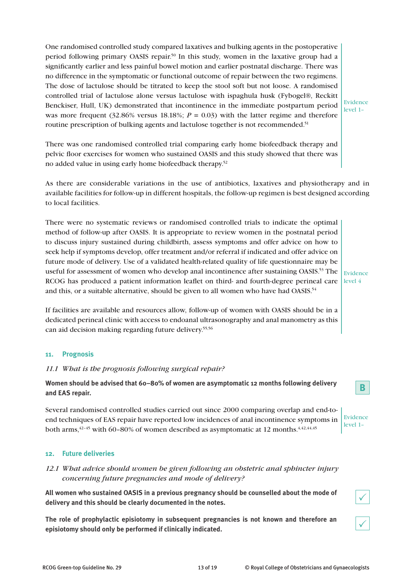One randomised controlled study compared laxatives and bulking agents in the postoperative period following primary OASIS repair.50 In this study, women in the laxative group had a significantly earlier and less painful bowel motion and earlier postnatal discharge. There was no difference in the symptomatic or functional outcome of repair between the two regimens. The dose of lactulose should be titrated to keep the stool soft but not loose. A randomised controlled trial of lactulose alone versus lactulose with ispaghula husk (Fybogel®, Reckitt Benckiser, Hull, UK) demonstrated that incontinence in the immediate postpartum period was more frequent  $(32.86\%$  versus 18.18%;  $P = 0.03$ ) with the latter regime and therefore routine prescription of bulking agents and lactulose together is not recommended.<sup>51</sup>

Evidence level 1–

There was one randomised controlled trial comparing early home biofeedback therapy and pelvic floor exercises for women who sustained OASIS and this study showed that there was no added value in using early home biofeedback therapy.52

As there are considerable variations in the use of antibiotics, laxatives and physiotherapy and in available facilities for follow-up in different hospitals, the follow-up regimen is best designed according to local facilities.

There were no systematic reviews or randomised controlled trials to indicate the optimal method of follow-up after OASIS. It is appropriate to review women in the postnatal period to discuss injury sustained during childbirth, assess symptoms and offer advice on how to seek help if symptoms develop, offer treatment and/or referral if indicated and offer advice on future mode of delivery. Use of a validated health-related quality of life questionnaire may be useful for assessment of women who develop anal incontinence after sustaining OASIS.<sup>53</sup> The RCOG has produced a patient information leaflet on third- and fourth-degree perineal care and this, or a suitable alternative, should be given to all women who have had OASIS.54

Evidence level 4

If facilities are available and resources allow, follow-up of women with OASIS should be in a dedicated perineal clinic with access to endoanal ultrasonography and anal manometry as this can aid decision making regarding future delivery.55,56

# **11. Prognosis**

# *11.1 What is the prognosis following surgical repair?*

**Women should be advised that 60–80% of women are asymptomatic 12 months following delivery and EAS repair.**

Several randomised controlled studies carried out since 2000 comparing overlap and end-toend techniques of EAS repair have reported low incidences of anal incontinence symptoms in both arms, $42-45$  with 60–80% of women described as asymptomatic at 12 months. $4,42,44,45$ 

# **12. Future deliveries**

# *12.1 What advice should women be given following an obstetric anal sphincter injury concerning future pregnancies and mode of delivery?*

**All women who sustained OASIS in a previous pregnancy should be counselled about the mode of delivery and this should be clearly documented in the notes.**

**The role of prophylactic episiotomy in subsequent pregnancies is not known and therefore an episiotomy should only be performed if clinically indicated.**



| Evidence |  |
|----------|--|
| level 1  |  |

 $\checkmark$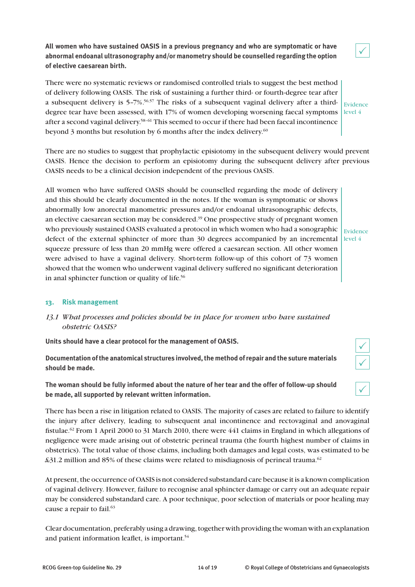**All women who have sustained OASIS in a previous pregnancy and who are symptomatic or have abnormal endoanal ultrasonography and/or manometry should be counselled regarding the option of elective caesarean birth.**

There were no systematic reviews or randomised controlled trials to suggest the best method of delivery following OASIS. The risk of sustaining a further third- or fourth-degree tear after a subsequent delivery is 5-7%.<sup>56,57</sup> The risks of a subsequent vaginal delivery after a thirddegree tear have been assessed, with 17% of women developing worsening faecal symptoms level 4 after a second vaginal delivery.58–61 This seemed to occur if there had been faecal incontinence beyond 3 months but resolution by 6 months after the index delivery.<sup>60</sup> Evidence

There are no studies to suggest that prophylactic episiotomy in the subsequent delivery would prevent OASIS. Hence the decision to perform an episiotomy during the subsequent delivery after previous OASIS needs to be a clinical decision independent of the previous OASIS.

All women who have suffered OASIS should be counselled regarding the mode of delivery and this should be clearly documented in the notes. If the woman is symptomatic or shows abnormally low anorectal manometric pressures and/or endoanal ultrasonographic defects, an elective caesarean section may be considered.<sup>39</sup> One prospective study of pregnant women who previously sustained OASIS evaluated a protocol in which women who had a sonographic  $\vert_{\rm Evidence}$ defect of the external sphincter of more than 30 degrees accompanied by an incremental  $\vert$  level 4 squeeze pressure of less than 20 mmHg were offered a caesarean section. All other women were advised to have a vaginal delivery. Short-term follow-up of this cohort of 73 women showed that the women who underwent vaginal delivery suffered no significant deterioration in anal sphincter function or quality of life.<sup>56</sup>

# **13. Risk management**

# *13.1 What processes and policies should be in place for women who have sustained obstetric OASIS?*

**Units should have a clear protocol for the management of OASIS.**

**Documentation of the anatomical structures involved, the method of repair and the suture materials should be made.**

**The woman should be fully informed about the nature of her tear and the offer of follow-up should be made, all supported by relevant written information.**

There has been a rise in litigation related to OASIS. The majority of cases are related to failure to identify the injury after delivery, leading to subsequent anal incontinence and rectovaginal and anovaginal fistulae.<sup>62</sup> From 1 April 2000 to 31 March 2010, there were  $441$  claims in England in which allegations of negligence were made arising out of obstetric perineal trauma (the fourth highest number of claims in obstetrics). The total value of those claims, including both damages and legal costs, was estimated to be  $\pounds31.2$  million and 85% of these claims were related to misdiagnosis of perineal trauma.<sup>62</sup>

At present, the occurrence of OASIS is not considered substandard care because it is a known complication of vaginal delivery. However, failure to recognise anal sphincter damage or carry out an adequate repair may be considered substandard care. A poor technique, poor selection of materials or poor healing may cause a repair to fail.<sup>63</sup>

Clear documentation, preferably using a drawing, together with providing the woman with an explanation and patient information leaflet, is important.<sup>54</sup>

 $\checkmark$ 



|--|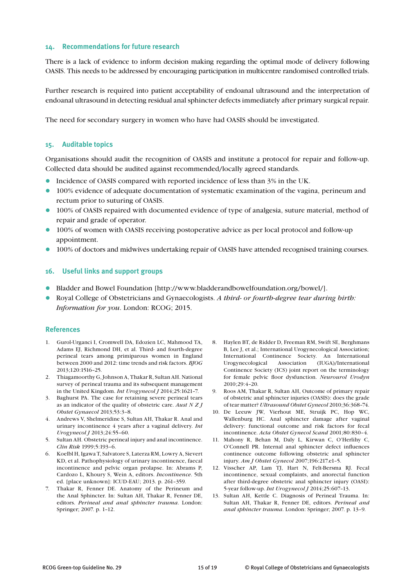# **14. Recommendations for future research**

There is a lack of evidence to inform decision making regarding the optimal mode of delivery following OASIS. This needs to be addressed by encouraging participation in multicentre randomised controlled trials.

Further research is required into patient acceptability of endoanal ultrasound and the interpretation of endoanal ultrasound in detecting residual anal sphincter defects immediately after primary surgical repair.

The need for secondary surgery in women who have had OASIS should be investigated.

#### **15. Auditable topics**

Organisations should audit the recognition of OASIS and institute a protocol for repair and follow-up. Collected data should be audited against recommended/locally agreed standards.

- Incidence of OASIS compared with reported incidence of less than 3% in the UK.
- 100% evidence of adequate documentation of systematic examination of the vagina, perineum and rectum prior to suturing of OASIS.
- 100% of OASIS repaired with documented evidence of type of analgesia, suture material, method of repair and grade of operator.
- 100% of women with OASIS receiving postoperative advice as per local protocol and follow-up appointment.
- 100% of doctors and midwives undertaking repair of OASIS have attended recognised training courses.

# **16. Useful links and support groups**

- l Bladder and Bowel Foundation [http://www.bladderandbowelfoundation.org/bowel/].
- l Royal College of Obstetricians and Gynaecologists. *A third- or fourth-degree tear during birth: Information for you*. London: RCOG; 2015.

#### **References**

- 1. Gurol-Urganci I, Cromwell DA, Edozien LC, Mahmood TA, Adams EJ, Richmond DH, et al. Third- and fourth-degree perineal tears among primiparous women in England between 2000 and 2012: time trends and risk factors. *BJOG* 2013;120:1516–25.
- 2. Thiagamoorthy G, Johnson A, Thakar R, Sultan AH. National survey of perineal trauma and its subsequent management in the United Kingdom. *Int Urogynecol J* 2014;25:1621–7.
- 3. Baghurst PA. The case for retaining severe perineal tears as an indicator of the quality of obstetric care. *Aust N Z J Obstet Gynaecol* 2013;53:3–8.
- 4. Andrews V, Shelmeridine S, Sultan AH, Thakar R. Anal and urinary incontinence 4 years after a vaginal delivery. *Int Urogynecol J* 2013;24:55–60.
- 5. Sultan AH. Obstetric perineal injury and anal incontinence. *Clin Risk* 1999;5:193–6.
- 6. Koelbl H, Igawa T, Salvatore S, Laterza RM, Lowry A, Sievert KD, et al. Pathophysiology of urinary incontinence, faecal incontinence and pelvic organ prolapse. In: Abrams P, Cardozo L, Khoury S, Wein A, editors. *Incontinence*. 5th ed. [place unknown]: ICUD-EAU; 2013. p. 261–359.
- 7. Thakar R, Fenner DE. Anatomy of the Perineum and the Anal Sphincter. In: Sultan AH, Thakar R, Fenner DE, editors. *Perineal and anal sphincter trauma*. London: Springer; 2007. p. 1–12.
- 8. Haylen BT, de Ridder D, Freeman RM, Swift SE, Berghmans B, Lee J, et al.; International Urogynecological Association; International Continence Society. An International Urogynecological Association (IUGA)/International Continence Society (ICS) joint report on the terminology for female pelvic floor dysfunction. *Neurourol Urodyn* 2010;29:4–20.
- 9. Roos AM, Thakar R, Sultan AH, Outcome of primary repair of obstetric anal sphincter injuries (OASIS): does the grade of tear matter? *Ultrasound Obstet Gynecol* 2010;36:368–74.
- 10. De Leeuw JW, Vierhout ME, Struijk PC, Hop WC, Wallenburg HC. Anal sphincter damage after vaginal delivery: functional outcome and risk factors for fecal incontinence. *Acta Obstet Gynecol Scand* 2001;80:830–4.
- 11. Mahony R, Behan M, Daly L, Kirwan C, O'Herlihy C, O'Connell PR. Internal anal sphincter defect influences continence outcome following obstetric anal sphincter injury. *Am J Obstet Gynecol* 2007;196:217.e1–5.
- 12. Visscher AP, Lam TJ, Hart N, Felt-Bersma RJ. Fecal incontinence, sexual complaints, and anorectal function after third-degree obstetric anal sphincter injury (OASI): 5-year follow-up. *Int Urogynecol J* 2014;25:607–13.
- 13. Sultan AH, Kettle C. Diagnosis of Perineal Trauma. In: Sultan AH, Thakar R, Fenner DE, editors. *Perineal and anal sphincter trauma*. London: Springer; 2007. p. 13–9.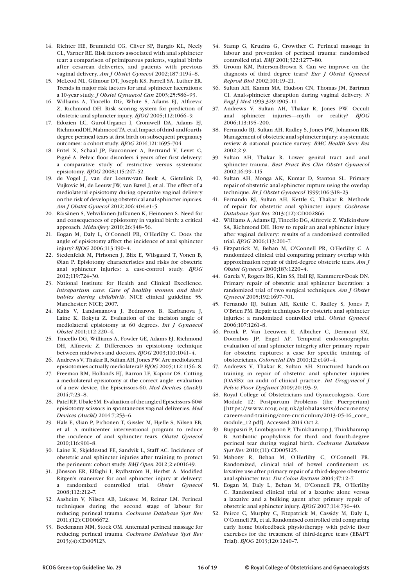- 14. Richter HE, Brumfield CG, Cliver SP, Burgio KL, Neely CL, Varner RE. Risk factors associated with anal sphincter tear: a comparison of primiparous patients, vaginal births after cesarean deliveries, and patients with previous vaginal delivery. *Am J Obstet Gynecol* 2002;187:1194–8.
- 15. McLeod NL, Gilmour DT, Joseph KS, Farrell SA, Luther ER. Trends in major risk factors for anal sphincter lacerations: a 10-year study. *J Obstet Gynaecol Can* 2003;25:586–93.
- 16. Williams A, Tincello DG, White S, Adams EJ, Alfirevic Z, Richmond DH. Risk scoring system for prediction of obstetric anal sphincter injury. *BJOG* 2005;112:1066–9.
- 17. Edozien LC, Gurol-Urganci I, Cromwell DA, Adams EJ, Richmond DH, Mahmood TA, et al. Impact of third- and fourthdegree perineal tears at first birth on subsequent pregnancy outcomes: a cohort study. *BJOG* 2014;121:1695–704.
- 18. Fritel X, Schaal JP, Fauconnier A, Bertrand V, Levet C, Pigné A. Pelvic floor disorders 4 years after first delivery: a comparative study of restrictive versus systematic episiotomy. *BJOG* 2008;115:247–52.
- 19. de Vogel J, van der Leeuw-van Beek A, Gietelink D, Vujkovic M, de Leeuw JW, van Bavel J, et al. The effect of a mediolateral episiotomy during operative vaginal delivery on the risk of developing obstetrical anal sphincter injuries. *Am J Obstet Gynecol* 2012;206:404.e1–5.
- 20. Räisänen S, Vehviläinen-Julkunen K, Heinonen S. Need for and consequences of episiotomy in vaginal birth: a critical approach. *Midwifery* 2010;26:348–56.
- 21. Eogan M, Daly L, O'Connell PR, O'Herlihy C. Does the angle of episiotomy affect the incidence of anal sphincter injury? *BJOG* 2006;113:190–4.
- 22. Stedenfeldt M, Pirhonen J, Blix E, Wilsgaard T, Vonen B, Øian P. Episiotomy characteristics and risks for obstetric anal sphincter injuries: a case-control study. *BJOG* 2012;119:724–30.
- 23. National Institute for Health and Clinical Excellence. *Intrapartum care: Care of healthy women and their babies during childbirth*. NICE clinical guideline 55. Manchester: NICE; 2007.
- 24. Kalis V, Landsmanova J, Bednarova B, Karbanova J, Laine K, Rokyta Z. Evaluation of the incision angle of mediolateral episiotomy at 60 degrees. *Int J Gynaecol Obstet* 2011;112:220–4.
- 25. Tincello DG, Williams A, Fowler GE, Adams EJ, Richmond DH, Alfirevic Z. Differences in episiotomy technique between midwives and doctors. *BJOG* 2003;110:1041–4.
- 26. Andrews V, Thakar R, Sultan AH, Jones PW. Are mediolateral episiotomies actually mediolateral? *BJOG* 2005;112:1156–8.
- 27. Freeman RM, Hollands HJ, Barron LF, Kapoor DS. Cutting a mediolateral episiotomy at the correct angle: evaluation of a new device, the Episcissors-60. *Med Devices (Auckl)* 2014;7:23–8.
- 28. Patel RP, Ubale SM. Evaluation of the angled Episcissors-60® episiotomy scissors in spontaneous vaginal deliveries. *Med Devices (Auckl)* 2014:7;253–6.
- 29. Hals E, Øian P, Pirhonen T, Gissler M, Hjelle S, Nilsen EB, et al. A multicenter interventional program to reduce the incidence of anal sphincter tears. *Obstet Gynecol*  2010;116:901–8.
- 30. Laine K, Skjeldestad FE, Sandvik L, Staff AC. Incidence of obstetric anal sphincter injuries after training to protect the perineum: cohort study. *BMJ Open* 2012;2:e001649.
- 31. Jönsson ER, Elfaghi I, Rydhström H, Herbst A. Modified Ritgen's maneuver for anal sphincter injury at delivery: a randomized controlled trial. *Obstet Gynecol*  2008;112:212–7.
- 32. Aasheim V, Nilsen AB, Lukasse M, Reinar LM. Perineal techniques during the second stage of labour for reducing perineal trauma. *Cochrane Database Syst Rev*  2011;(12):CD006672.
- 33. Beckmann MM, Stock OM. Antenatal perineal massage for reducing perineal trauma. *Cochrane Database Syst Rev*  2013;(4):CD005123.
- 34. Stamp G, Kruzins G, Crowther C. Perineal massage in labour and prevention of perineal trauma: randomised controlled trial. *BMJ* 2001;322:1277–80.
- 35. Groom KM, Paterson-Brown S. Can we improve on the diagnosis of third degree tears? *Eur J Obstet Gynecol Reprod Biol* 2002;101:19–21.
- 36. Sultan AH, Kamm MA, Hudson CN, Thomas JM, Bartram CI. Anal-sphincter disruption during vaginal delivery. *N Engl J Med* 1993;329:1905–11.
- 37. Andrews V, Sultan AH, Thakar R, Jones PW. Occult anal sphincter injuries—myth or reality? *BJOG* 2006;113:195–200.
- 38. Fernando RJ, Sultan AH, Radley S, Jones PW, Johanson RB. Management of obstetric anal sphincter injury: a systematic review & national practice survey. *BMC Health Serv Res*   $2002.2.9$
- 39. Sultan AH, Thakar R. Lower genital tract and anal sphincter trauma. *Best Pract Res Clin Obstet Gynaecol*  2002;16:99–115.
- 40. Sultan AH, Monga AK, Kumar D, Stanton SL. Primary repair of obstetric anal sphincter rupture using the overlap technique. *Br J Obstet Gynaecol* 1999;106:318–23.
- 41. Fernando RJ, Sultan AH, Kettle C, Thakar R. Methods of repair for obstetric anal sphincter injury. *Cochrane Database Syst Rev* 2013;(12):CD002866.
- 42. Williams A, Adams EJ, Tincello DG, Alfirevic Z, Walkinshaw SA, Richmond DH. How to repair an anal sphincter injury after vaginal delivery: results of a randomised controlled trial. *BJOG* 2006;113:201–7.
- 43. Fitzpatrick M, Behan M, O'Connell PR, O'Herlihy C. A randomized clinical trial comparing primary overlap with approximation repair of third-degree obstetric tears. *Am J Obstet Gynecol* 2000;183:1220–4.
- 44. Garcia V, Rogers RG, Kim SS, Hall RJ, Kammerer-Doak DN. Primary repair of obstetric anal sphincter laceration: a randomized trial of two surgical techniques. *Am J Obstet Gynecol* 2005;192:1697–701.
- 45. Fernando RJ, Sultan AH, Kettle C, Radley S, Jones P, O'Brien PM. Repair techniques for obstetric anal sphincter injuries: a randomized controlled trial. *Obstet Gynecol*  2006;107:1261–8.
- 46. Pronk P, Van Leeuwen E, Albicher C, Dermout SM, Doornbos JP, Engel AF. Temporal endosonographic evaluation of anal sphincter integrity after primary repair for obstetric ruptures: a case for specific training of obstetricians. *Colorectal Dis* 2010;12:e140–4.
- 47. Andrews V, Thakar R, Sultan AH. Structured hands-on training in repair of obstetric anal sphincter injuries (OASIS): an audit of clinical practice. *Int Urogynecol J Pelvic Floor Dysfunct* 2009;20:193–9.
- 48. Royal College of Obstetricians and Gynaecologists. Core Module 12: Postpartum Problems (the Puerperium) [https://www.rcog.org.uk/globalassets/documents/ careers-and-training/core-curriculum/2013-05-16\_core\_ module\_12.pdf]. Accessed 2014 Oct 2.
- 49. Buppasiri P, Lumbiganon P, Thinkhamrop J, Thinkhamrop B. Antibiotic prophylaxis for third- and fourth-degree perineal tear during vaginal birth. *Cochrane Database Syst Rev* 2010;(11):CD005125.
- 50. Mahony R, Behan M, O'Herlihy C, O'Connell PR. Randomized, clinical trial of bowel confinement *vs*. laxative use after primary repair of a third-degree obstetric anal sphincter tear. *Dis Colon Rectum* 2004;47:12–7.
- 51. Eogan M, Daly L, Behan M, O'Connell PR, O'Herlihy C. Randomised clinical trial of a laxative alone versus a laxative and a bulking agent after primary repair of obstetric anal sphincter injury. *BJOG* 2007;114:736–40.
- 52. Peirce C, Murphy C, Fitzpatrick M, Cassidy M, Daly L, O'Connell PR, et al. Randomised controlled trial comparing early home biofeedback physiotherapy with pelvic floor exercises for the treatment of third-degree tears (EBAPT Trial). *BJOG* 2013;120:1240–7.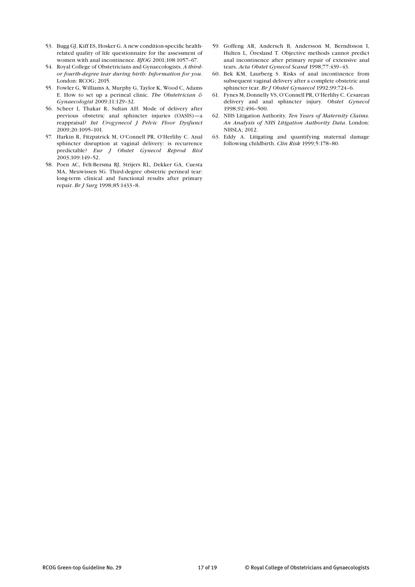- 53. Bugg GJ, Kiff ES, Hosker G. A new condition-specific healthrelated quality of life questionnaire for the assessment of women with anal incontinence. *BJOG* 2001;108:1057–67.
- 54. Royal College of Obstetricians and Gynaecologists. *A thirdor fourth-degree tear during birth: Information for you*. London: RCOG; 2015.
- 55. Fowler G, Williams A, Murphy G, Taylor K, Wood C, Adams E. How to set up a perineal clinic. *The Obstetrician & Gynaecologist* 2009;11:129–32.
- 56. Scheer I, Thakar R, Sultan AH. Mode of delivery after previous obstetric anal sphincter injuries (OASIS)—a reappraisal? *Int Urogynecol J Pelvic Floor Dysfunct*  2009;20:1095–101.
- 57. Harkin R, Fitzpatrick M, O'Connell PR, O'Herlihy C. Anal sphincter disruption at vaginal delivery: is recurrence predictable? *Eur J Obstet Gynecol Reprod Biol*  2003;109:149–52.
- 58. Poen AC, Felt-Bersma RJ, Strijers RL, Dekker GA, Cuesta MA, Meuwissen SG. Third-degree obstetric perineal tear: long-term clinical and functional results after primary repair. *Br J Surg* 1998;85:1433–8.
- 59. Goffeng AR, Andersch B, Andersson M, Berndtsson I, Hulten L, Öresland T. Objective methods cannot predict anal incontinence after primary repair of extensive anal tears. *Acta Obstet Gynecol Scand* 1998;77:439–43.
- 60. Bek KM, Laurberg S. Risks of anal incontinence from subsequent vaginal delivery after a complete obstetric anal sphincter tear. *Br J Obstet Gynaecol* 1992;99:724–6.
- 61. Fynes M, Donnelly VS, O'Connell PR, O'Herlihy C. Cesarean delivery and anal sphincter injury. *Obstet Gynecol*  1998;92:496–500.
- 62. NHS Litigation Authority. *Ten Years of Maternity Claims. An Analysis of NHS Litigation Authority Data*. London: NHSLA; 2012.
- 63. Eddy A. Litigating and quantifying maternal damage following childbirth. *Clin Risk* 1999;5:178–80.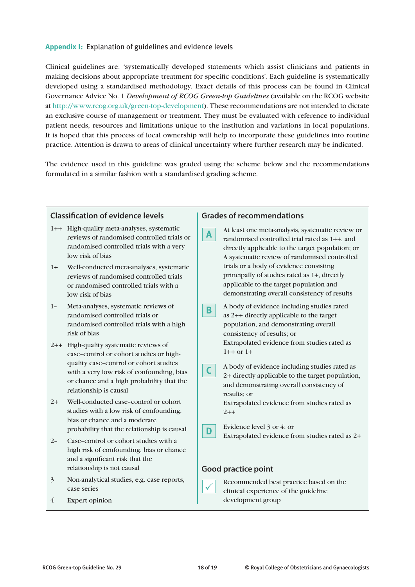# **Appendix I:** Explanation of guidelines and evidence levels

Clinical guidelines are: 'systematically developed statements which assist clinicians and patients in making decisions about appropriate treatment for specific conditions'. Each guideline is systematically developed using a standardised methodology. Exact details of this process can be found in Clinical Governance Advice No. 1 *Development of RCOG Green-top Guidelines* (available on the RCOG website at http://www.rcog.org.uk/green-top-development). These recommendations are not intended to dictate an exclusive course of management or treatment. They must be evaluated with reference to individual patient needs, resources and limitations unique to the institution and variations in local populations. It is hoped that this process of local ownership will help to incorporate these guidelines into routine practice. Attention is drawn to areas of clinical uncertainty where further research may be indicated.

The evidence used in this guideline was graded using the scheme below and the recommendations formulated in a similar fashion with a standardised grading scheme.